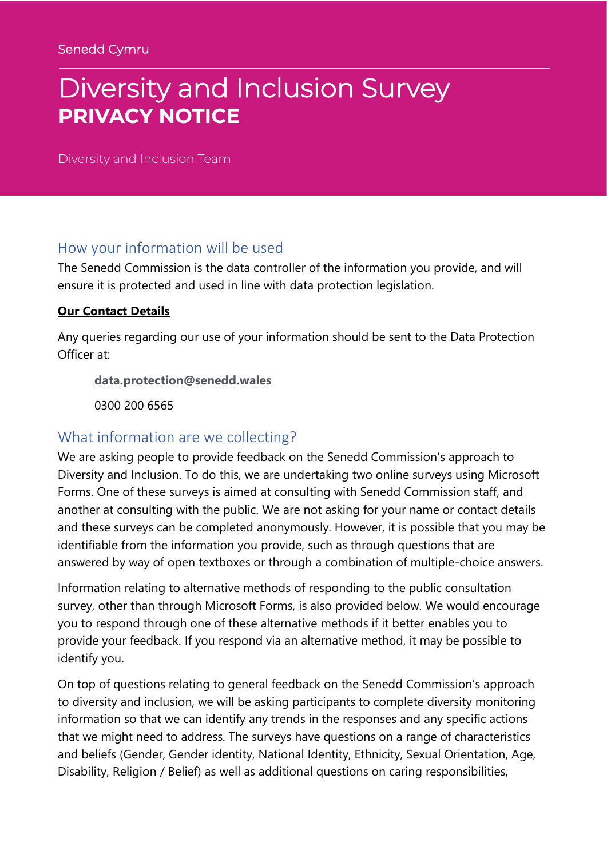# Diversity and Inclusion Survey **PRIVACY NOTICE**

Diversity and Inclusion Team

#### How your information will be used

The Senedd Commission is the data controller of the information you provide, and will ensure it is protected and used in line with data protection legislation.

#### **Our Contact Details**

Any queries regarding our use of your information should be sent to the Data Protection Officer at: 

**[data.protection@senedd.wales](mailto:data.protection@senedd.wales)**

0300 200 6565 

### What information are we collecting?

We are asking people to provide feedback on the Senedd Commission's approach to Diversity and Inclusion. To do this, we are undertaking two online surveys using Microsoft Forms. One of these surveys is aimed at consulting with Senedd Commission staff, and another at consulting with the public. We are not asking for your name or contact details and these surveys can be completed anonymously. However, it is possible that you may be identifiable from the information you provide, such as through questions that are answered by way of open textboxes or through a combination of multiple-choice answers.

Information relating to alternative methods of responding to the public consultation survey, other than through Microsoft Forms, is also provided below. We would encourage you to respond through one of these alternative methods if it better enables you to provide your feedback. If you respond via an alternative method, it may be possible to identify you.

On top of questions relating to general feedback on the Senedd Commission's approach to diversity and inclusion, we will be asking participants to complete diversity monitoring information so that we can identify any trends in the responses and any specific actions that we might need to address. The surveys have questions on a range of characteristics and beliefs (Gender, Gender identity, National Identity, Ethnicity, Sexual Orientation, Age, Disability, Religion / Belief) as well as additional questions on caring responsibilities,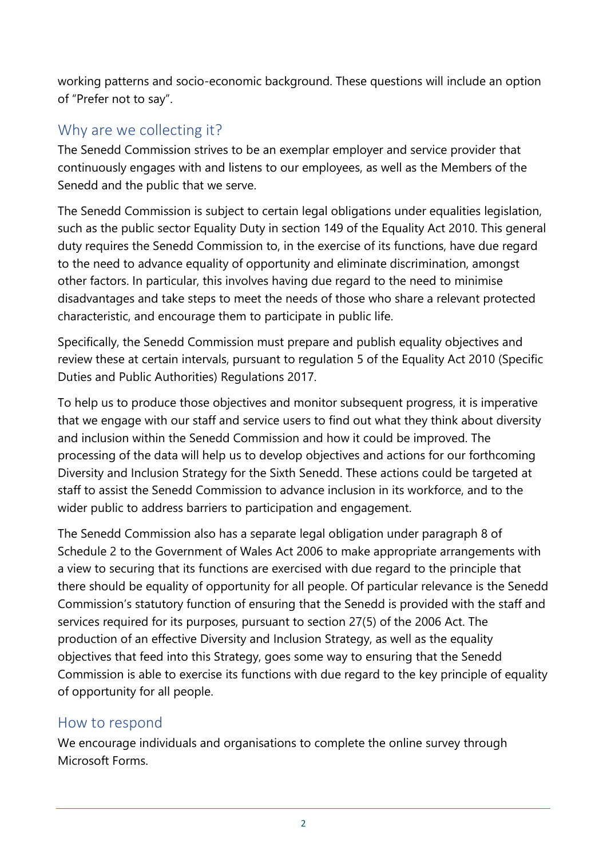working patterns and socio-economic background. These questions will include an option of "Prefer not to say".

# Why are we collecting it?

The Senedd Commission strives to be an exemplar employer and service provider that continuously engages with and listens to our employees, as well as the Members of the Senedd and the public that we serve.

The Senedd Commission is subject to certain legal obligations under equalities legislation, such as the public sector Equality Duty in section 149 of the Equality Act 2010. This general duty requires the Senedd Commission to, in the exercise of its functions, have due regard to the need to advance equality of opportunity and eliminate discrimination, amongst other factors. In particular, this involves having due regard to the need to minimise disadvantages and take steps to meet the needs of those who share a relevant protected characteristic, and encourage them to participate in public life.

Specifically, the Senedd Commission must prepare and publish equality objectives and review these at certain intervals, pursuant to regulation 5 of the Equality Act 2010 (Specific Duties and Public Authorities) Regulations 2017.

To help us to produce those objectives and monitor subsequent progress, it is imperative that we engage with our staff and service users to find out what they think about diversity and inclusion within the Senedd Commission and how it could be improved. The processing of the data will help us to develop objectives and actions for our forthcoming Diversity and Inclusion Strategy for the Sixth Senedd. These actions could be targeted at staff to assist the Senedd Commission to advance inclusion in its workforce, and to the wider public to address barriers to participation and engagement.

The Senedd Commission also has a separate legal obligation under paragraph 8 of Schedule 2 to the Government of Wales Act 2006 to make appropriate arrangements with a view to securing that its functions are exercised with due regard to the principle that there should be equality of opportunity for all people. Of particular relevance is the Senedd Commission's statutory function of ensuring that the Senedd is provided with the staff and services required for its purposes, pursuant to section 27(5) of the 2006 Act. The production of an effective Diversity and Inclusion Strategy, as well as the equality objectives that feed into this Strategy, goes some way to ensuring that the Senedd Commission is able to exercise its functions with due regard to the key principle of equality of opportunity for all people.

#### How to respond

We encourage individuals and organisations to complete the online survey through Microsoft Forms.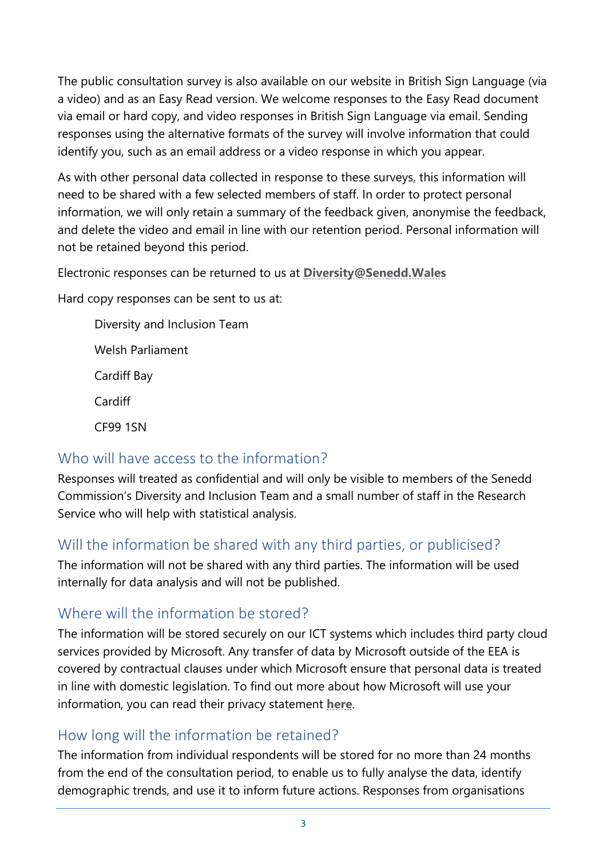The public consultation survey is also available on our website in British Sign Language (via a video) and as an Easy Read version. We welcome responses to the Easy Read document via email or hard copy, and video responses in British Sign Language via email. Sending responses using the alternative formats of the survey will involve information that could identify you, such as an email address or a video response in which you appear.

As with other personal data collected in response to these surveys, this information will need to be shared with a few selected members of staff. In order to protect personal information, we will only retain a summary of the feedback given, anonymise the feedback, and delete the video and email in line with our retention period. Personal information will not be retained beyond this period.

Electronic responses can be returned to us at **[Diversity@Senedd.Wales](mailto:Diversity@Senedd.Wales)**

Hard copy responses can be sent to us at:

Diversity and Inclusion Team Welsh Parliament Cardiff Bay Cardiff CF99 1SN

# Who will have access to the information?

Responses will treated as confidential and will only be visible to members of the Senedd Commission's Diversity and Inclusion Team and a small number of staff in the Research Service who will help with statistical analysis.

# Will the information be shared with any third parties, or publicised?

The information will not be shared with any third parties. The information will be used internally for data analysis and will not be published.

# Where will the information be stored?

The information will be stored securely on our ICT systems which includes third party cloud services provided by Microsoft. Any transfer of data by Microsoft outside of the EEA is covered by contractual clauses under which Microsoft ensure that personal data is treated in line with domestic legislation. To find out more about how Microsoft will use your information, you can read their privacy statement **[here](https://www.microsoft.com/en-gb/trust-center/privacy?SilentAuth=1)**.

# How long will the information be retained?

The information from individual respondents will be stored for no more than 24 months from the end of the consultation period, to enable us to fully analyse the data, identify demographic trends, and use it to inform future actions. Responses from organisations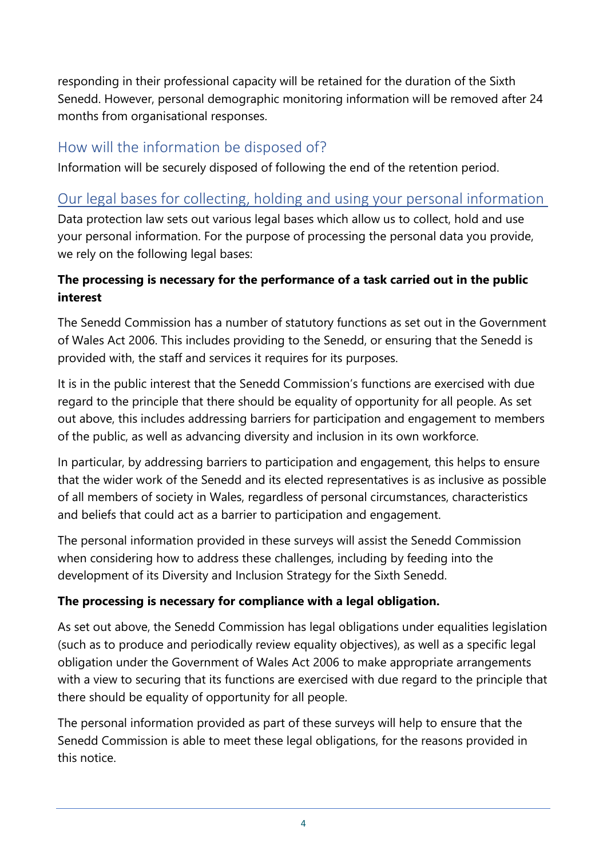responding in their professional capacity will be retained for the duration of the Sixth Senedd. However, personal demographic monitoring information will be removed after 24 months from organisational responses.

# How will the information be disposed of?

Information will be securely disposed of following the end of the retention period.

# Our legal bases for collecting, holding and using your personal information

Data protection law sets out various legal bases which allow us to collect, hold and use your personal information. For the purpose of processing the personal data you provide, we rely on the following legal bases:

## **The processing is necessary for the performance of a task carried out in the public interest**

The Senedd Commission has a number of statutory functions as set out in the Government of Wales Act 2006. This includes providing to the Senedd, or ensuring that the Senedd is provided with, the staff and services it requires for its purposes.

It is in the public interest that the Senedd Commission's functions are exercised with due regard to the principle that there should be equality of opportunity for all people. As set out above, this includes addressing barriers for participation and engagement to members of the public, as well as advancing diversity and inclusion in its own workforce.

In particular, by addressing barriers to participation and engagement, this helps to ensure that the wider work of the Senedd and its elected representatives is as inclusive as possible of all members of society in Wales, regardless of personal circumstances, characteristics and beliefs that could act as a barrier to participation and engagement.

The personal information provided in these surveys will assist the Senedd Commission when considering how to address these challenges, including by feeding into the development of its Diversity and Inclusion Strategy for the Sixth Senedd.

## **The processing is necessary for compliance with a legal obligation.**

As set out above, the Senedd Commission has legal obligations under equalities legislation (such as to produce and periodically review equality objectives), as well as a specific legal obligation under the Government of Wales Act 2006 to make appropriate arrangements with a view to securing that its functions are exercised with due regard to the principle that there should be equality of opportunity for all people.

The personal information provided as part of these surveys will help to ensure that the Senedd Commission is able to meet these legal obligations, for the reasons provided in this notice.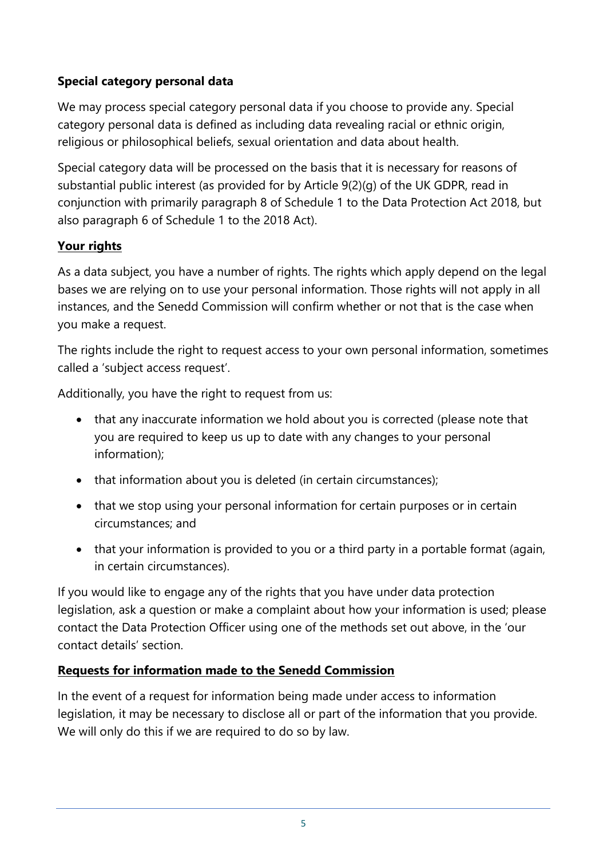#### **Special category personal data**

We may process special category personal data if you choose to provide any. Special category personal data is defined as including data revealing racial or ethnic origin, religious or philosophical beliefs, sexual orientation and data about health.

Special category data will be processed on the basis that it is necessary for reasons of substantial public interest (as provided for by Article 9(2)(g) of the UK GDPR, read in conjunction with primarily paragraph 8 of Schedule 1 to the Data Protection Act 2018, but also paragraph 6 of Schedule 1 to the 2018 Act).

#### **Your rights**

As a data subject, you have a number of rights. The rights which apply depend on the legal bases we are relying on to use your personal information. Those rights will not apply in all instances, and the Senedd Commission will confirm whether or not that is the case when you make a request.

The rights include the right to request access to your own personal information, sometimes called a 'subject access request'.

Additionally, you have the right to request from us:

- that any inaccurate information we hold about you is corrected (please note that you are required to keep us up to date with any changes to your personal information);
- that information about you is deleted (in certain circumstances);
- that we stop using your personal information for certain purposes or in certain circumstances; and
- that your information is provided to you or a third party in a portable format (again, in certain circumstances).

If you would like to engage any of the rights that you have under data protection legislation, ask a question or make a complaint about how your information is used; please contact the Data Protection Officer using one of the methods set out above, in the 'our contact details' section.

#### **Requests for information made to the Senedd Commission**

In the event of a request for information being made under access to information legislation, it may be necessary to disclose all or part of the information that you provide. We will only do this if we are required to do so by law.